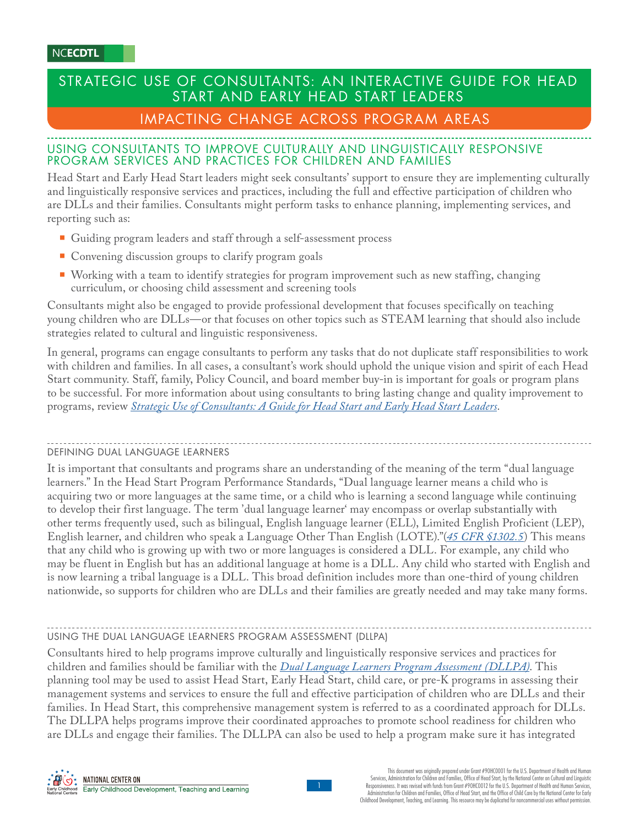# STRATEGIC USE OF CONSULTANTS: AN INTERACTIVE GUIDE FOR HEAD START AND EARLY HEAD START LEADERS

# IMPACTING CHANGE ACROSS PROGRAM AREAS

# USING CONSULTANTS TO IMPROVE CULTURALLY AND LINGUISTICALLY RESPONSIVE PROGRAM SERVICES AND PRACTICES FOR CHILDREN AND FAMILIES

Head Start and Early Head Start leaders might seek consultants' support to ensure they are implementing culturally and linguistically responsive services and practices, including the full and effective participation of children who are DLLs and their families. Consultants might perform tasks to enhance planning, implementing services, and reporting such as:

- Guiding program leaders and staff through a self-assessment process
- Convening discussion groups to clarify program goals
- Working with a team to identify strategies for program improvement such as new staffing, changing curriculum, or choosing child assessment and screening tools

Consultants might also be engaged to provide professional development that focuses specifically on teaching young children who are DLLs—or that focuses on other topics such as STEAM learning that should also include strategies related to cultural and linguistic responsiveness.

In general, programs can engage consultants to perform any tasks that do not duplicate staff responsibilities to work with children and families. In all cases, a consultant's work should uphold the unique vision and spirit of each Head Start community. Staff, family, Policy Council, and board member buy-in is important for goals or program plans to be successful. For more information about using consultants to bring lasting change and quality improvement to programs, review *[Strategic Use of Consultants: A Guide for Head Start and Early Head Start Leaders](https://eclkc.ohs.acf.hhs.gov/human-resources/learning-module/strategic-use-consultants-guide-head-start-early-head-start-leaders)*.

# DEFINING DUAL LANGUAGE LEARNERS

It is important that consultants and programs share an understanding of the meaning of the term "dual language learners." In the Head Start Program Performance Standards, "Dual language learner means a child who is acquiring two or more languages at the same time, or a child who is learning a second language while continuing to develop their first language. The term 'dual language learner' may encompass or overlap substantially with other terms frequently used, such as bilingual, English language learner (ELL), Limited English Proficient (LEP), English learner, and children who speak a Language Other Than English (LOTE)."(*[45 CFR §1302.5](https://eclkc.ohs.acf.hhs.gov/policy/45-cfr-chap-xiii/1305-2-terms)*) This means that any child who is growing up with two or more languages is considered a DLL. For example, any child who may be fluent in English but has an additional language at home is a DLL. Any child who started with English and is now learning a tribal language is a DLL. This broad definition includes more than one-third of young children nationwide, so supports for children who are DLLs and their families are greatly needed and may take many forms.

# USING THE DUAL LANGUAGE LEARNERS PROGRAM ASSESSMENT (DLLPA)

Consultants hired to help programs improve culturally and linguistically responsive services and practices for children and families should be familiar with the *[Dual Language Learners Program Assessment \(DLLPA\)](https://eclkc.ohs.acf.hhs.gov/culture-language/guide-dual-language-learners-program-assessment-dllpa/dual-language-learners-program-assessment-dllpa-users-guide)*. This planning tool may be used to assist Head Start, Early Head Start, child care, or pre-K programs in assessing their management systems and services to ensure the full and effective participation of children who are DLLs and their families. In Head Start, this comprehensive management system is referred to as a coordinated approach for DLLs. The DLLPA helps programs improve their coordinated approaches to promote school readiness for children who are DLLs and engage their families. The DLLPA can also be used to help a program make sure it has integrated



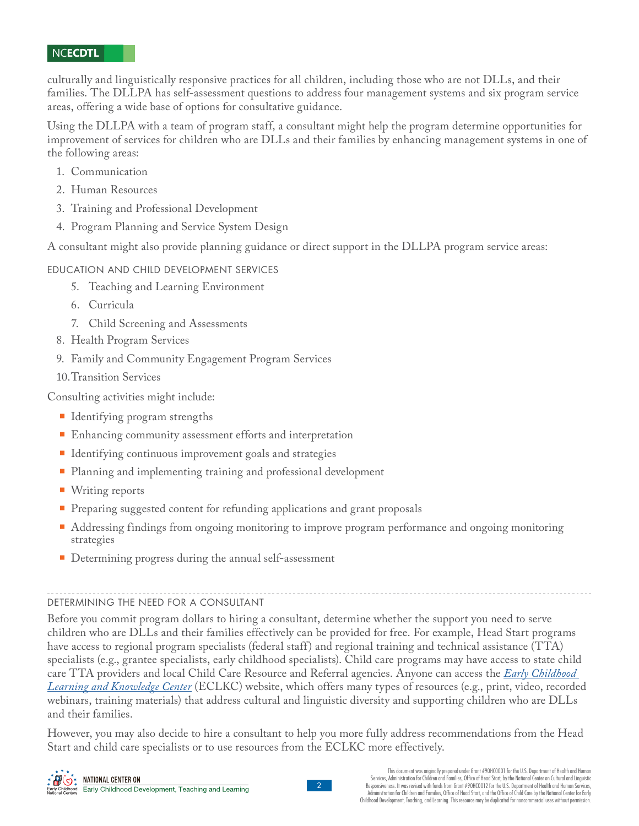culturally and linguistically responsive practices for all children, including those who are not DLLs, and their families. The DLLPA has self-assessment questions to address four management systems and six program service areas, offering a wide base of options for consultative guidance.

Using the DLLPA with a team of program staff, a consultant might help the program determine opportunities for improvement of services for children who are DLLs and their families by enhancing management systems in one of the following areas:

- 1. Communication
- 2. Human Resources
- 3. Training and Professional Development
- 4. Program Planning and Service System Design

A consultant might also provide planning guidance or direct support in the DLLPA program service areas:

# EDUCATION AND CHILD DEVELOPMENT SERVICES

- 5. Teaching and Learning Environment
- 6. Curricula
- 7. Child Screening and Assessments
- 8. Health Program Services
- 9. Family and Community Engagement Program Services
- 10.Transition Services

Consulting activities might include:

- Identifying program strengths
- Enhancing community assessment efforts and interpretation
- Identifying continuous improvement goals and strategies
- **Planning and implementing training and professional development**
- **Writing reports**
- **Preparing suggested content for refunding applications and grant proposals**
- Addressing findings from ongoing monitoring to improve program performance and ongoing monitoring strategies
- Determining progress during the annual self-assessment

#### DETERMINING THE NEED FOR A CONSULTANT

Before you commit program dollars to hiring a consultant, determine whether the support you need to serve children who are DLLs and their families effectively can be provided for free. For example, Head Start programs have access to regional program specialists (federal staff) and regional training and technical assistance (TTA) specialists (e.g., grantee specialists, early childhood specialists). Child care programs may have access to state child [care TTA providers and local Child Care Resource and Referral agencies. Anyone can access the](https://eclkc.ohs.acf.hhs.gov/) *Early Childhood Learning and Knowledge Center* (ECLKC) website, which offers many types of resources (e.g., print, video, recorded webinars, training materials) that address cultural and linguistic diversity and supporting children who are DLLs and their families.

However, you may also decide to hire a consultant to help you more fully address recommendations from the Head Start and child care specialists or to use resources from the ECLKC more effectively.



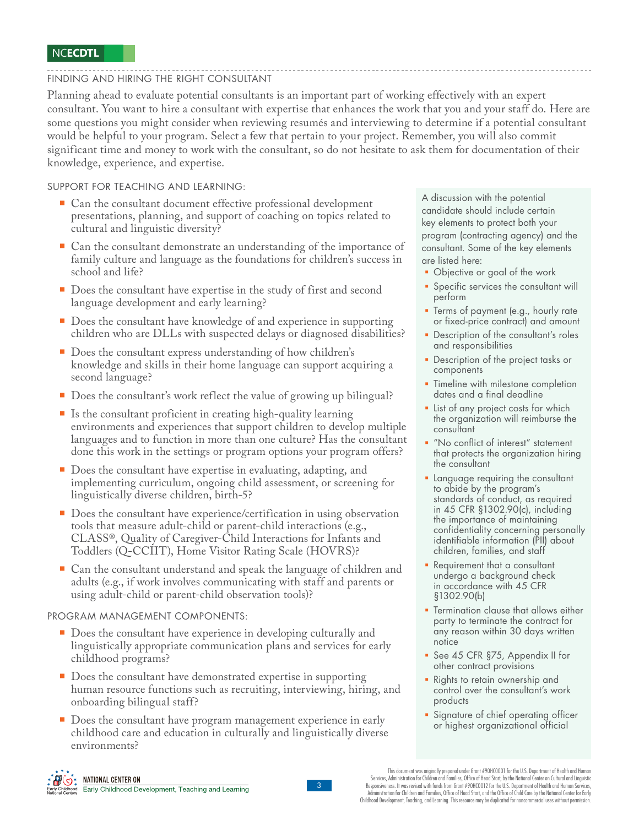# FINDING AND HIRING THE RIGHT CONSULTANT

Planning ahead to evaluate potential consultants is an important part of working effectively with an expert consultant. You want to hire a consultant with expertise that enhances the work that you and your staff do. Here are some questions you might consider when reviewing resumés and interviewing to determine if a potential consultant would be helpful to your program. Select a few that pertain to your project. Remember, you will also commit significant time and money to work with the consultant, so do not hesitate to ask them for documentation of their knowledge, experience, and expertise.

SUPPORT FOR TEACHING AND LEARNING:

- Can the consultant document effective professional development presentations, planning, and support of coaching on topics related to cultural and linguistic diversity?
- Can the consultant demonstrate an understanding of the importance of family culture and language as the foundations for children's success in school and life?
- Does the consultant have expertise in the study of first and second language development and early learning?
- Does the consultant have knowledge of and experience in supporting children who are DLLs with suspected delays or diagnosed disabilities?
- Does the consultant express understanding of how children's knowledge and skills in their home language can support acquiring a second language?
- Does the consultant's work reflect the value of growing up bilingual?
- $\blacksquare$  Is the consultant proficient in creating high-quality learning environments and experiences that support children to develop multiple languages and to function in more than one culture? Has the consultant done this work in the settings or program options your program offers?
- Does the consultant have expertise in evaluating, adapting, and implementing curriculum, ongoing child assessment, or screening for linguistically diverse children, birth-5?
- Does the consultant have experience/certification in using observation tools that measure adult-child or parent-child interactions (e.g., CLASS®, Quality of Caregiver-Child Interactions for Infants and Toddlers (Q-CCIIT), Home Visitor Rating Scale (HOVRS)?
- Can the consultant understand and speak the language of children and adults (e.g., if work involves communicating with staff and parents or using adult-child or parent-child observation tools)?

#### PROGRAM MANAGEMENT COMPONENTS:

- Does the consultant have experience in developing culturally and linguistically appropriate communication plans and services for early childhood programs?
- Does the consultant have demonstrated expertise in supporting human resource functions such as recruiting, interviewing, hiring, and onboarding bilingual staff?
- Does the consultant have program management experience in early childhood care and education in culturally and linguistically diverse environments?

A discussion with the potential candidate should include certain key elements to protect both your program (contracting agency) and the consultant. Some of the key elements are listed here:

- Objective or goal of the work
- **Specific services the consultant will** perform
- Terms of payment (e.g., hourly rate or fixed-price contract) and amount
- **Description of the consultant's roles** and responsibilities
- **Description of the project tasks or** components
- **Timeline with milestone completion** dates and a final deadline
- **Exercise 1** List of any project costs for which the organization will reimburse the consultant
- **"No conflict of interest" statement** that protects the organization hiring the consultant
- **Language requiring the consultant** to abide by the program's standards of conduct, as required in 45 CFR §1302.90(c), including the importance of maintaining confidentiality concerning personally identifiable information (PII) about children, families, and staff
- Requirement that a consultant undergo a background check in accordance with 45 CFR §1302.90(b)
- Termination clause that allows either party to terminate the contract for any reason within 30 days written notice
- See 45 CFR §75, Appendix II for other contract provisions
- Rights to retain ownership and control over the consultant's work products
- Signature of chief operating officer or highest organizational official





This document was originally prepared under Grant #90HC0001 for the U.S. Department of Health and Human Services, Administration for Children and Families, Office of Head Start, by the National Center on Cultural and Linguistic<br>Responsiveness. It was revised with funds from Grant #90HCOO12 for the U.S. Department of Health a Administration for Children and Families, Office of Head Start, and the Office of Child Care by the National Center for Early Childhood Development, Teaching, and Learning. This resource may be duplicated for noncommercial uses without permission.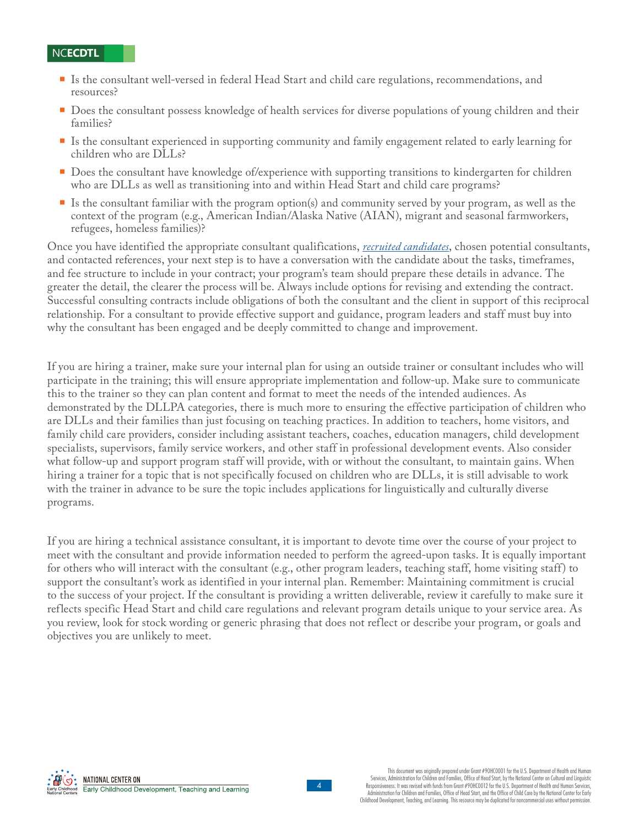- Is the consultant well-versed in federal Head Start and child care regulations, recommendations, and resources?
- Does the consultant possess knowledge of health services for diverse populations of young children and their families?
- Is the consultant experienced in supporting community and family engagement related to early learning for children who are DLLs?
- **Does the consultant have knowledge of/experience with supporting transitions to kindergarten for children** who are DLLs as well as transitioning into and within Head Start and child care programs?
- Is the consultant familiar with the program option(s) and community served by your program, as well as the context of the program (e.g., American Indian/Alaska Native (AIAN), migrant and seasonal farmworkers, refugees, homeless families)?

Once you have identified the appropriate consultant qualifications, *[recruited candidates](https://eclkc.ohs.acf.hhs.gov/sites/default/files/pdf/consultant-recruitment-strategies.pdf)*, chosen potential consultants, and contacted references, your next step is to have a conversation with the candidate about the tasks, timeframes, and fee structure to include in your contract; your program's team should prepare these details in advance. The greater the detail, the clearer the process will be. Always include options for revising and extending the contract. Successful consulting contracts include obligations of both the consultant and the client in support of this reciprocal relationship. For a consultant to provide effective support and guidance, program leaders and staff must buy into why the consultant has been engaged and be deeply committed to change and improvement.

If you are hiring a trainer, make sure your internal plan for using an outside trainer or consultant includes who will participate in the training; this will ensure appropriate implementation and follow-up. Make sure to communicate this to the trainer so they can plan content and format to meet the needs of the intended audiences. As demonstrated by the DLLPA categories, there is much more to ensuring the effective participation of children who are DLLs and their families than just focusing on teaching practices. In addition to teachers, home visitors, and family child care providers, consider including assistant teachers, coaches, education managers, child development specialists, supervisors, family service workers, and other staff in professional development events. Also consider what follow-up and support program staff will provide, with or without the consultant, to maintain gains. When hiring a trainer for a topic that is not specifically focused on children who are DLLs, it is still advisable to work with the trainer in advance to be sure the topic includes applications for linguistically and culturally diverse programs.

If you are hiring a technical assistance consultant, it is important to devote time over the course of your project to meet with the consultant and provide information needed to perform the agreed-upon tasks. It is equally important for others who will interact with the consultant (e.g., other program leaders, teaching staff, home visiting staff) to support the consultant's work as identified in your internal plan. Remember: Maintaining commitment is crucial to the success of your project. If the consultant is providing a written deliverable, review it carefully to make sure it reflects specific Head Start and child care regulations and relevant program details unique to your service area. As you review, look for stock wording or generic phrasing that does not reflect or describe your program, or goals and objectives you are unlikely to meet.



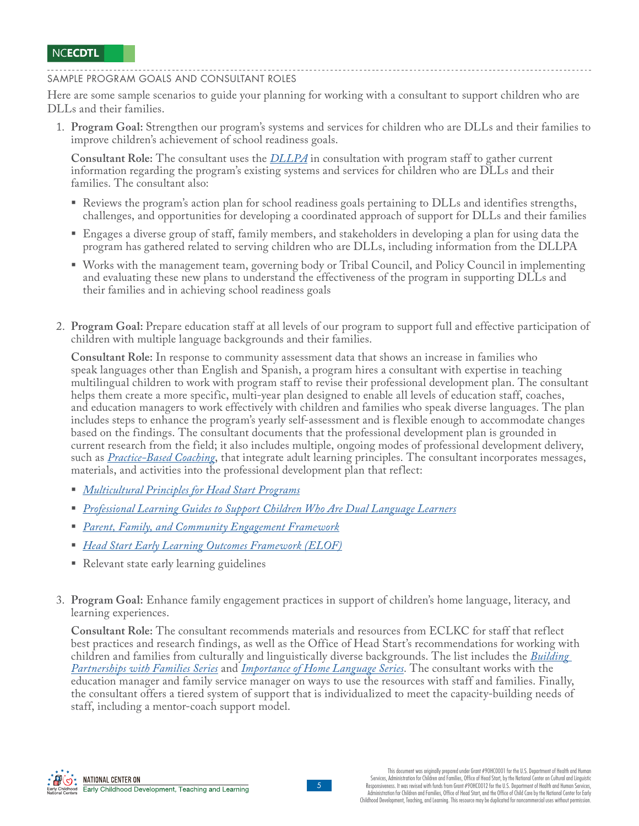SAMPLE PROGRAM GOALS AND CONSULTANT ROLES

Here are some sample scenarios to guide your planning for working with a consultant to support children who are DLLs and their families.

1. **Program Goal:** Strengthen our program's systems and services for children who are DLLs and their families to improve children's achievement of school readiness goals.

**Consultant Role:** The consultant uses the *[DLLPA](https://eclkc.ohs.acf.hhs.gov/culture-language/guide-dual-language-learners-program-assessment-dllpa/dual-language-learners-program-assessment-dllpa-users-guide)* in consultation with program staff to gather current information regarding the program's existing systems and services for children who are DLLs and their families. The consultant also:

- Reviews the program's action plan for school readiness goals pertaining to DLLs and identifies strengths, challenges, and opportunities for developing a coordinated approach of support for DLLs and their families
- Engages a diverse group of staff, family members, and stakeholders in developing a plan for using data the program has gathered related to serving children who are DLLs, including information from the DLLPA
- Works with the management team, governing body or Tribal Council, and Policy Council in implementing and evaluating these new plans to understand the effectiveness of the program in supporting DLLs and their families and in achieving school readiness goals
- 2. **Program Goal:** Prepare education staff at all levels of our program to support full and effective participation of children with multiple language backgrounds and their families.

**Consultant Role:** In response to community assessment data that shows an increase in families who speak languages other than English and Spanish, a program hires a consultant with expertise in teaching multilingual children to work with program staff to revise their professional development plan. The consultant helps them create a more specific, multi-year plan designed to enable all levels of education staff, coaches, and education managers to work effectively with children and families who speak diverse languages. The plan includes steps to enhance the program's yearly self-assessment and is flexible enough to accommodate changes based on the findings. The consultant documents that the professional development plan is grounded in current research from the field; it also includes multiple, ongoing modes of professional development delivery, such as *[Practice-Based Coaching](https://eclkc.ohs.acf.hhs.gov/professional-development/article/practice-based-coaching-pbc)*, that integrate adult learning principles. The consultant incorporates messages, materials, and activities into the professional development plan that reflect:

- *[Multicultural Principles for Head Start Programs](https://eclkc.ohs.acf.hhs.gov/culture-language/article/multicultural-principles-early-childhood-leaders)*
- *[Professional Learning Guides to Support Children Who Are Dual Language Learners](https://eclkc.ohs.acf.hhs.gov/culture-language/article/professional-learning-guides-support-children-who-are-dual-language-learners)*
- *[Parent, Family, and Community Engagement Framework](https://eclkc.ohs.acf.hhs.gov/school-readiness/article/head-start-parent-family-community-engagement-framework)*
- *[Head Start Early Learning Outcomes Framework \(ELOF\)](https://eclkc.ohs.acf.hhs.gov/school-readiness/article/head-start-early-learning-outcomes-framework)*
- Relevant state early learning guidelines
- 3. **Program Goal:** Enhance family engagement practices in support of children's home language, literacy, and learning experiences.

**Consultant Role:** The consultant recommends materials and resources from ECLKC for staff that reflect best practices and research findings, as well as the Office of Head Start's recommendations for working with [children and families from culturally and linguistically diverse backgrounds. The list includes the](https://eclkc.ohs.acf.hhs.gov/family-engagement/article/building-partnerships-families-series) *Building Partnerships with Families Series* and *[Importance of Home Language Series](https://eclkc.ohs.acf.hhs.gov/culture-language/article/importance-home-language-series)*. The consultant works with the education manager and family service manager on ways to use the resources with staff and families. Finally, the consultant offers a tiered system of support that is individualized to meet the capacity-building needs of staff, including a mentor-coach support model.

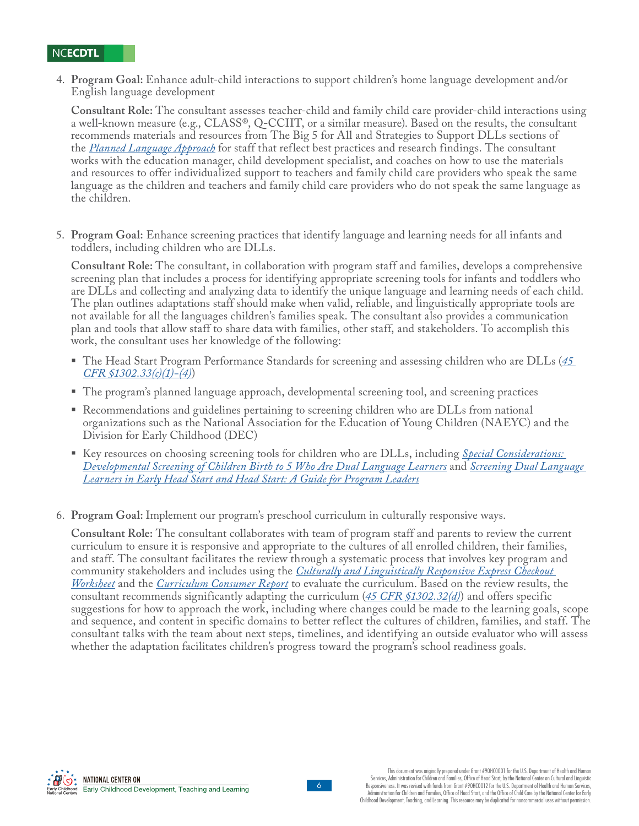4. **Program Goal:** Enhance adult-child interactions to support children's home language development and/or English language development

**Consultant Role:** The consultant assesses teacher-child and family child care provider-child interactions using a well-known measure (e.g., CLASS®, Q-CCIIT, or a similar measure). Based on the results, the consultant recommends materials and resources from The Big 5 for All and Strategies to Support DLLs sections of the *[Planned Language Approach](https://eclkc.ohs.acf.hhs.gov/culture-language/article/planned-language-approach)* for staff that reflect best practices and research findings. The consultant works with the education manager, child development specialist, and coaches on how to use the materials and resources to offer individualized support to teachers and family child care providers who speak the same language as the children and teachers and family child care providers who do not speak the same language as the children.

5. **Program Goal:** Enhance screening practices that identify language and learning needs for all infants and toddlers, including children who are DLLs.

**Consultant Role:** The consultant, in collaboration with program staff and families, develops a comprehensive screening plan that includes a process for identifying appropriate screening tools for infants and toddlers who are DLLs and collecting and analyzing data to identify the unique language and learning needs of each child. The plan outlines adaptations staff should make when valid, reliable, and linguistically appropriate tools are not available for all the languages children's families speak. The consultant also provides a communication plan and tools that allow staff to share data with families, other staff, and stakeholders. To accomplish this work, the consultant uses her knowledge of the following:

- [The Head Start Program Performance Standards for screening and assessing children who are DLLs \(](https://eclkc.ohs.acf.hhs.gov/policy/45-cfr-chap-xiii/1302-33-child-screenings-assessments)*45 CFR §1302.33(c)(1)-(4)*)
- The program's planned language approach, developmental screening tool, and screening practices
- Recommendations and guidelines pertaining to screening children who are DLLs from national organizations such as the National Association for the Education of Young Children (NAEYC) and the Division for Early Childhood (DEC)
- [Key resources on choosing screening tools for children who are DLLs, including](https://eclkc.ohs.acf.hhs.gov/child-screening-assessment/article/special-considerations-developmental-screening-children-ages) *Special Considerations: [Developmental Screening of Children Birth to 5 Who Are Dual Language Learners](https://eclkc.ohs.acf.hhs.gov/child-screening-assessment/article/screening-dual-language-learners-early-head-start-head-start-guide-program-leaders)* and *Screening Dual Language Learners in Early Head Start and Head Start: A Guide for Program Leaders*
- 6. **Program Goal:** Implement our program's preschool curriculum in culturally responsive ways.

**Consultant Role:** The consultant collaborates with team of program staff and parents to review the current curriculum to ensure it is responsive and appropriate to the cultures of all enrolled children, their families, and staff. The consultant facilitates the review through a systematic process that involves key program and community stakeholders and includes using the *Culturally and Linguistically Responsive Express Checkout Worksheet* and the *[Curriculum Consumer Report](https://eclkc.ohs.acf.hhs.gov/curriculum/consumer-report)* [to evaluate the curriculum. Based on the review results,](https://eclkc.ohs.acf.hhs.gov/publication/culturally-linguistically-responsive-express-checkout-worksheet) the consultant recommends significantly adapting the curriculum (*[45 CFR §1302.32\(d\)](https://eclkc.ohs.acf.hhs.gov/policy/45-cfr-chap-xiii/1302-32-curricula)*) and offers specific suggestions for how to approach the work, including where changes could be made to the learning goals, scope and sequence, and content in specific domains to better reflect the cultures of children, families, and staff. The consultant talks with the team about next steps, timelines, and identifying an outside evaluator who will assess whether the adaptation facilitates children's progress toward the program's school readiness goals.

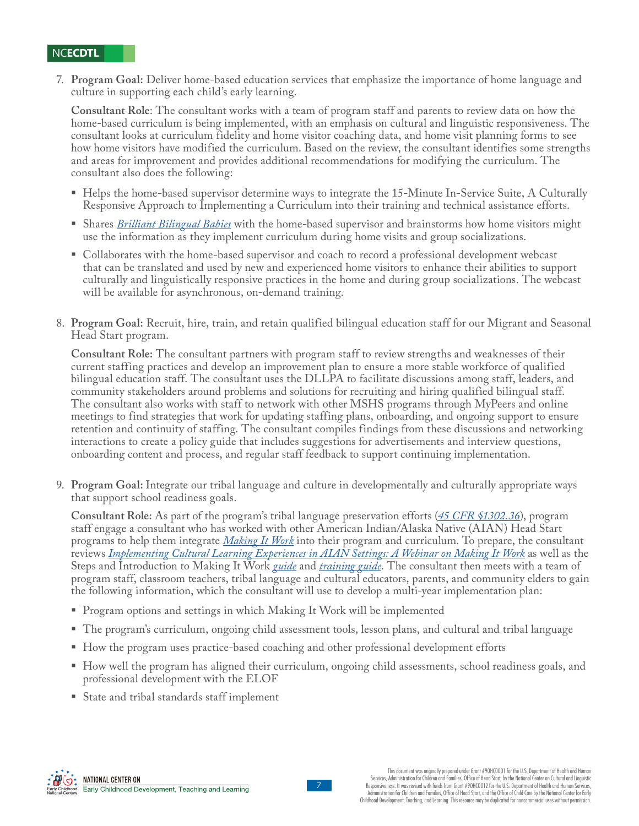7. **Program Goal:** Deliver home-based education services that emphasize the importance of home language and culture in supporting each child's early learning.

**Consultant Role**: The consultant works with a team of program staff and parents to review data on how the home-based curriculum is being implemented, with an emphasis on cultural and linguistic responsiveness. The consultant looks at curriculum fidelity and home visitor coaching data, and home visit planning forms to see how home visitors have modified the curriculum. Based on the review, the consultant identifies some strengths and areas for improvement and provides additional recommendations for modifying the curriculum. The consultant also does the following:

- Helps the home-based supervisor determine ways to integrate the 15-Minute In-Service Suite, A Culturally Responsive Approach to Implementing a Curriculum into their training and technical assistance efforts.
- Shares *[Brilliant Bilingual Babies](https://eclkc.ohs.acf.hhs.gov/publication/brilliant-bilingual-babies)* with the home-based supervisor and brainstorms how home visitors might use the information as they implement curriculum during home visits and group socializations.
- Collaborates with the home-based supervisor and coach to record a professional development webcast that can be translated and used by new and experienced home visitors to enhance their abilities to support culturally and linguistically responsive practices in the home and during group socializations. The webcast will be available for asynchronous, on-demand training.
- 8. **Program Goal:** Recruit, hire, train, and retain qualified bilingual education staff for our Migrant and Seasonal Head Start program.

**Consultant Role:** The consultant partners with program staff to review strengths and weaknesses of their current staffing practices and develop an improvement plan to ensure a more stable workforce of qualified bilingual education staff. The consultant uses the DLLPA to facilitate discussions among staff, leaders, and community stakeholders around problems and solutions for recruiting and hiring qualified bilingual staff. The consultant also works with staff to network with other MSHS programs through MyPeers and online meetings to find strategies that work for updating staffing plans, onboarding, and ongoing support to ensure retention and continuity of staffing. The consultant compiles findings from these discussions and networking interactions to create a policy guide that includes suggestions for advertisements and interview questions, onboarding content and process, and regular staff feedback to support continuing implementation.

9. **Program Goal:** Integrate our tribal language and culture in developmentally and culturally appropriate ways that support school readiness goals.

**Consultant Role:** As part of the program's tribal language preservation efforts (*[45 CFR §1302.36](https://eclkc.ohs.acf.hhs.gov/policy/45-cfr-chap-xiii/1302-36-tribal-language-preservation-revitalization)*), program staff engage a consultant who has worked with other American Indian/Alaska Native (AIAN) Head Start programs to help them integrate *[Making It Work](https://eclkc.ohs.acf.hhs.gov/culture-language/article/making-it-work-implementing-cultural-learning-experiences-american-indian-alaska-native-early)* into their program and curriculum. To prepare, the consultant reviews *[Implementing Cultural Learning Experiences in AIAN Settings: A Webinar on Making It Work](https://eclkc.ohs.acf.hhs.gov/video/implementing-cultural-learning-experiences-aian-settings-webinar-making-it-work)* as well as the Steps and Introduction to Making It Work *[guide](https://eclkc.ohs.acf.hhs.gov/sites/default/files/pdf/no-search/making-it-work-2017.pdf)* and *[training guide](https://eclkc.ohs.acf.hhs.gov/culture-language/article/training-guide-implementing-making-it-work-tribal-early-learning-settings)*. The consultant then meets with a team of program staff, classroom teachers, tribal language and cultural educators, parents, and community elders to gain the following information, which the consultant will use to develop a multi-year implementation plan:

- Program options and settings in which Making It Work will be implemented
- The program's curriculum, ongoing child assessment tools, lesson plans, and cultural and tribal language
- How the program uses practice-based coaching and other professional development efforts
- How well the program has aligned their curriculum, ongoing child assessments, school readiness goals, and professional development with the ELOF
- State and tribal standards staff implement